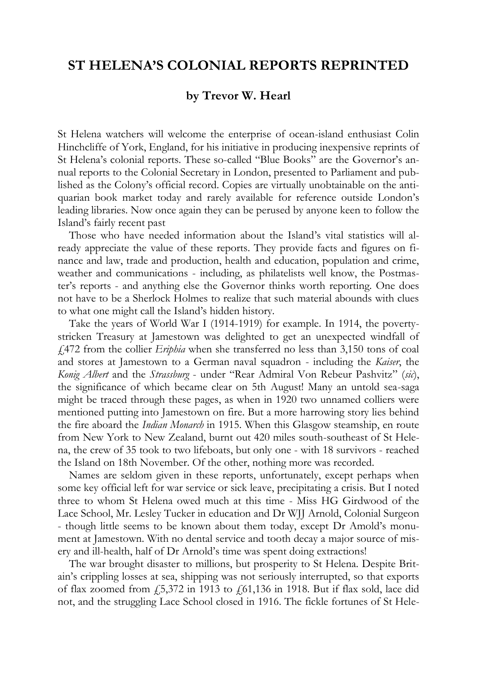## **ST HELENA'S COLONIAL REPORTS REPRINTED**

## **by Trevor W. Hearl**

St Helena watchers will welcome the enterprise of ocean-island enthusiast Colin Hinchcliffe of York, England, for his initiative in producing inexpensive reprints of St Helena's colonial reports. These so-called "Blue Books" are the Governor's annual reports to the Colonial Secretary in London, presented to Parliament and published as the Colony's official record. Copies are virtually unobtainable on the antiquarian book market today and rarely available for reference outside London's leading libraries. Now once again they can be perused by anyone keen to follow the Island's fairly recent past

Those who have needed information about the Island's vital statistics will already appreciate the value of these reports. They provide facts and figures on finance and law, trade and production, health and education, population and crime, weather and communications - including, as philatelists well know, the Postmaster's reports - and anything else the Governor thinks worth reporting. One does not have to be a Sherlock Holmes to realize that such material abounds with clues to what one might call the Island's hidden history.

Take the years of World War I (1914-1919) for example. In 1914, the povertystricken Treasury at Jamestown was delighted to get an unexpected windfall of £472 from the collier *Eriphia* when she transferred no less than 3,150 tons of coal and stores at Jamestown to a German naval squadron - including the *Kaiser*, the *Konig Albert* and the *Strassburg* - under "Rear Admiral Von Rebeur Pashvitz" (*sic*), the significance of which became clear on 5th August! Many an untold sea-saga might be traced through these pages, as when in 1920 two unnamed colliers were mentioned putting into Jamestown on fire. But a more harrowing story lies behind the fire aboard the *Indian Monarch* in 1915. When this Glasgow steamship, en route from New York to New Zealand, burnt out 420 miles south-southeast of St Helena, the crew of 35 took to two lifeboats, but only one - with 18 survivors - reached the Island on 18th November. Of the other, nothing more was recorded.

Names are seldom given in these reports, unfortunately, except perhaps when some key official left for war service or sick leave, precipitating a crisis. But I noted three to whom St Helena owed much at this time - Miss HG Girdwood of the Lace School, Mr. Lesley Tucker in education and Dr WJJ Arnold, Colonial Surgeon - though little seems to be known about them today, except Dr Amold's monument at Jamestown. With no dental service and tooth decay a major source of misery and ill-health, half of Dr Arnold's time was spent doing extractions!

The war brought disaster to millions, but prosperity to St Helena. Despite Britain's crippling losses at sea, shipping was not seriously interrupted, so that exports of flax zoomed from  $\frac{1}{2}$ , 5,372 in 1913 to  $\frac{1}{2}$ , 61,136 in 1918. But if flax sold, lace did not, and the struggling Lace School closed in 1916. The fickle fortunes of St Hele